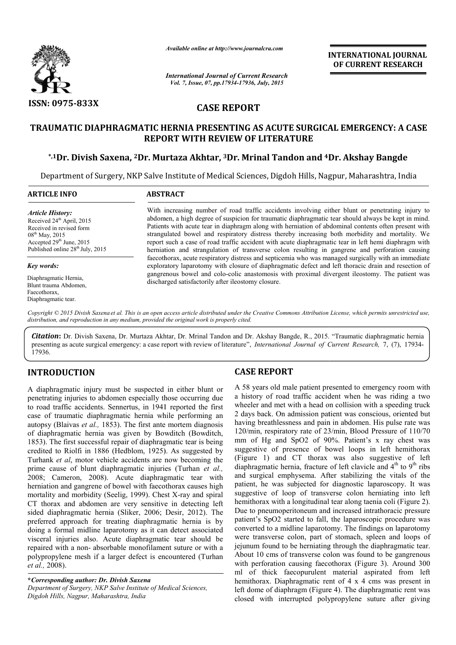

*Available online at http://www.journalcra.com*

*International Journal of Current Research Vol. 7, Issue, 07, pp.17934-17936, July, 2015*

**INTERNATIONAL INTERNATIONAL JOURNAL OF CURRENT RESEARCH** 

## **CASE REPORT**

# **TRAUMATIC DIAPHRAGMATIC HERNIA PRESENTING AS ACUTE SURGICAL EMERGENCY: A CASE REPORT WITH REVIEW OF LITERATURE** UMATIC DIAPHRAGMATIC HERNIA PRESENTING AS ACUTE SURGICAL EMERGENCY: A CASE<br>REPORT WITH REVIEW OF LITERATURE<br><sup>\*,1</sup>Dr. Divish Saxena, <sup>2</sup>Dr. Murtaza Akhtar, <sup>3</sup>Dr. Mrinal Tandon and <sup>4</sup>Dr. Akshay Bangde\*

Department of Surgery, NKP Salve Institute of Medical Sciences, Digdoh Hills, Nagpur, Maharashtra, India 1

### **ARTICLE INFO ABSTRACT**

*Article History:* Received 24<sup>th</sup> April, 2015 Received in revised form 08th May, 2015 Accepted 29<sup>th</sup> June, 2015 Published online 28<sup>th</sup> July, 2015

#### *Key words:*

Diaphragmatic Hernia, Blunt trauma Abdomen, Faecothorax, Diaphragmatic tear.

With increasing number of road traffic accidents involving either blunt or penetrating injury to abdomen, a high degree of suspicion for traumatic diaphragmatic tear should always be kept in mind. Patients with acute tear in diaphragm along with herniation of abdominal contents often present with strangulated bowel and respiratory distress thereby increasing both morbidity and mortality. We report such a case of road traffic accident with acute diaphragmatic tear in left hemi diaphragm with herniation and strangulation of transverse colon resulting in gangrene and perforation causing faecothorax, acute respiratory distress and septicemia who was managed surgically with an immediate exploratory laparotomy with closure of diaphragmatic defect and left thoracic drain and resection of gangrenous bowel and colo-colic anastomosis with proximal divergent ileostomy. The patient was discharged satisfactorily after ileostomy closure. With increasing number of road traffic accidents involving either blunt or penetrating injury to abdomen, a high degree of suspicion for traumatic diaphragmatic tear should always be kept in mind. Patients with acute tear

Copyright © 2015 Divish Saxena et al. This is an open access article distributed under the Creative Commons Attribution License, which permits unrestricted use, *distribution, and reproduction in any medium, provided the original work is properly cited.*

*Citation***:** Dr. Divish Saxena, Dr. Murtaza Akhtar, Dr. Mrinal Tandon and Dr. Akshay Bangde, R., 2015. " , "Traumatic diaphragmatic hernia presenting as acute surgical emergency: a case report with review of literature", *International Journal of Current Research*, 7, (7), 17934-17936.

## **INTRODUCTION**

A diaphragmatic injury must be suspected in either blunt or penetrating injuries to abdomen especially those occurring due to road traffic accidents. Sennertus, in 1941 reported the first case of traumatic diaphragmatic hernia while performing an autopsy (Blaivas *et al.,* 1853). The first ante mortem diagnosis autopsy (Blaivas et al., 1853). The first ante mortem diagnosis of diaphragmatic hernia was given by Bowditch (Bowditch, 1853). The first successful repair of diaphragmatic tear is being 1853). The first successful repair of diaphragmatic tear is being credited to Riolfi in 1886 (Hedblom, 1925). As suggested by Turhank *et al*, motor vehicle accidents are now becoming the prime cause of blunt diaphragmatic injuries (Turhan *et al.,*  2008; Cameron, 2008). Acute diaphragmatic tear with herniation and gangrene of bowel with faecothorax causes high 2008; Cameron, 2008). Acute diaphragmatic tear with herniation and gangrene of bowel with faecothorax causes high mortality and morbidity (Seelig, 1999). Chest X-ray and spiral CT thorax and abdomen are very sensitive in detecting left sided diaphragmatic hernia (Sliker, 2006; Desir, 2012). The preferred approach for treating diaphragmatic hernia is by doing a formal midline laparotomy as it can detect associated visceral injuries also. Acute diaphragmatic tear should be repaired with a non- absorbable monofilament suture or with a polypropylene mesh if a larger defect is encountered (Turhan *et al.,* 2008).

**\****Corresponding author: Dr. Divish Saxena Department of Surgery, NKP Salve Institute of Medical Sciences, Digdoh Hills, Nagpur, Maharashtra, India*

## **CASE REPORT**

A 58 years old male patient presented to emergency room with a history of road traffic accident when he was riding a two wheeler and met with a head on collision with a speeding truck 2 days back. On admission patient was conscious, oriented but having breathlessness and pain in abdomen. His pulse rate was 120/min, respiratory rate of 23/min, Blood Pressure of 110/70 mm of Hg and SpO2 of 90%. Patient's x ray chest was suggestive of presence of bowel loops in left hemithorax (Figure 1) and CT thorax was also suggestive of left diaphragmatic hernia, fracture of left clavicle and  $4<sup>th</sup>$  to  $9<sup>th</sup>$  ribs and surgical emphysema. After stabilizing the vitals of the patient, he was subjected for diagnostic laparoscopy. It was suggestive of loop of transverse colon herniating into left hemithorax with a longitudinal tear along taenia coli (Figure 2). Due to pneumoperitoneum and increased intrathoracic pressure patient's SpO2 started to fall, the laparoscopic procedure was converted to a midline laparotomy. The findings on laparotomy were transverse colon, part of stomach, spleen and loops of jejunum found to be herniating through the diaphragmatic tear. About 10 cms of transverse colon was found to be gangrenous with perforation causing faecothorax (Figure 3). Around 300 ml of thick faecopurulent material aspirated from left hemithorax. Diaphragmatic rent of 4 x 4 cms was present in left dome of diaphragm (Figure 4). The diaphragmatic rent was closed with interrupted polypropylene suture after giving 58 years old male patient presented to emergency room with history of road traffic accident when he was riding a two heeler and met with a head on collision with a speeding truck days back. On admission patient was consci and surgical emphysema. After stabilizing the vitals of the patient, he was subjected for diagnostic laparoscopy. It was suggestive of loop of transverse colon herniating into left hemithorax with a longitudinal tear alon **INTERNATIONAL JOURNAL OF CURRENT RESEARCH CALCAL EMERGENCY: A CASE (14) The CURRENT RESEARCH (16) The CURRENT RESEARCH (16) The Secondar of a following the state bund a content of a single g either bunt or penetrating in**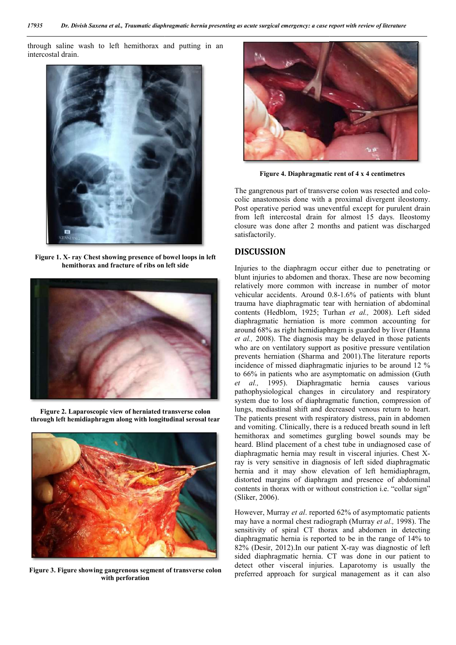through saline wash to left hemithorax and putting in an intercostal drain.



**Figure 1. X- ray Chest showing presence of bowel loops in left hemithorax and fracture of ribs on left side**



**Figure 2. Laparoscopic view of herniated transverse colon through left hemidiaphragm along with longitudinal serosal tear**



**Figure 3. Figure showing gangrenous segment of tr transverse colon with perforation**



**Figure 4. Diaphragmatic rent of 4 x 4 centimetres matic** 

The gangrenous part of transverse colon was resected and colocolic anastomosis done with a proximal divergent ileostomy. Post operative period was uneventful except for purulent drain from left intercostal drain for almost 15 days. Ileostomy closure was done after 2 months and patient was discharged satisfactorily.

## **DISCUSSION**

Injuries to the diaphragm occur either due to penetrating or blunt injuries to abdomen and thorax. These are now becoming relatively more common with increase in number of motor vehicular accidents. Around 0.8-1.6% of patients with blunt trauma have diaphragmatic tear with herniation of abdominal contents (Hedblom, 1925; Turhan *et al.,* 2008). Left sided diaphragmatic herniation is more common accounting for diaphragmatic herniation is more common accounting for around 68% as right hemidiaphragm is guarded by liver (Hanna et al., 2008). The diagnosis may be delayed in those patients who are on ventilatory support as positive pressure ventilation who are on ventilatory support as positive pressure ventilation<br>prevents herniation (Sharma and 2001).The literature reports incidence of missed diaphragmatic injuries to be around 12 % incidence of missed diaphragmatic injuries to be around 12 % to 66% in patients who are asymptomatic on admission (Guth *et al.,* 1995). Diaphragmatic hernia causes various pathophysiological changes in circulatory and respiratory system due to loss of diaphragmatic function, compression of lungs, mediastinal shift and decreased venous return to heart. The patients present with respiratory distress, pain in abdomen and vomiting. Clinically, there is a reduced breath sound in left hemithorax and sometimes gurgling bowel sounds may be heard. Blind placement of a chest tube in undiagnosed case of diaphragmatic hernia may result in visceral injuries. Chest X ray is very sensitive in diagnosis of left sided diaphragmatic hernia and it may show elevation of left hemidiaphragm, distorted margins of diaphragm and presence of abdominal contents in thorax with or without constriction i.e. "collar sign" (Sliker, 2006). ray is very sensitive in diagnosis of left sided diaphragmatic<br>hernia and it may show elevation of left hemidiaphragm,<br>distorted margins of diaphragm and presence of abdominal<br>contents in thorax with or without constrictio Post operative period was uneventful except for purulent drain<br>from left intercostal drain for almost 15 days. Ileostomy<br>closure was done after 2 months and patient was discharged<br>satisfactorily.<br>**DISCUSSION**<br>Injuries to t al., 1995). Diaphragmatic hernia causes various<br>hophysiological changes in circulatory and respiratory<br>tem due to loss of diaphragmatic function, compression of<br>gs, mediastinal shift and decreased venous return to heart.<br>p procedure and the procedure of the results.<br>
The gangerous part of transverse colon was researed and colo-<br>
related to the presenting as sure that process and colored as the presenting as sure that the *presenting* relati

However, Murray *et al*. reported 62% of asymptomatic patients sensitivity of spiral CT thorax and abdomen in detecting diaphragmatic hernia is reported to be in the range of 14% to sensitivity of spiral CT thorax and abdomen in detecting diaphragmatic hernia is reported to be in the range of 14% to 82% (Desir, 2012).In our patient X-ray was diagnostic of left sided diaphragmatic hernia. CT was done in our patient to detect other visceral injuries. Laparotomy is usually the preferred approach for surgical management as it can also